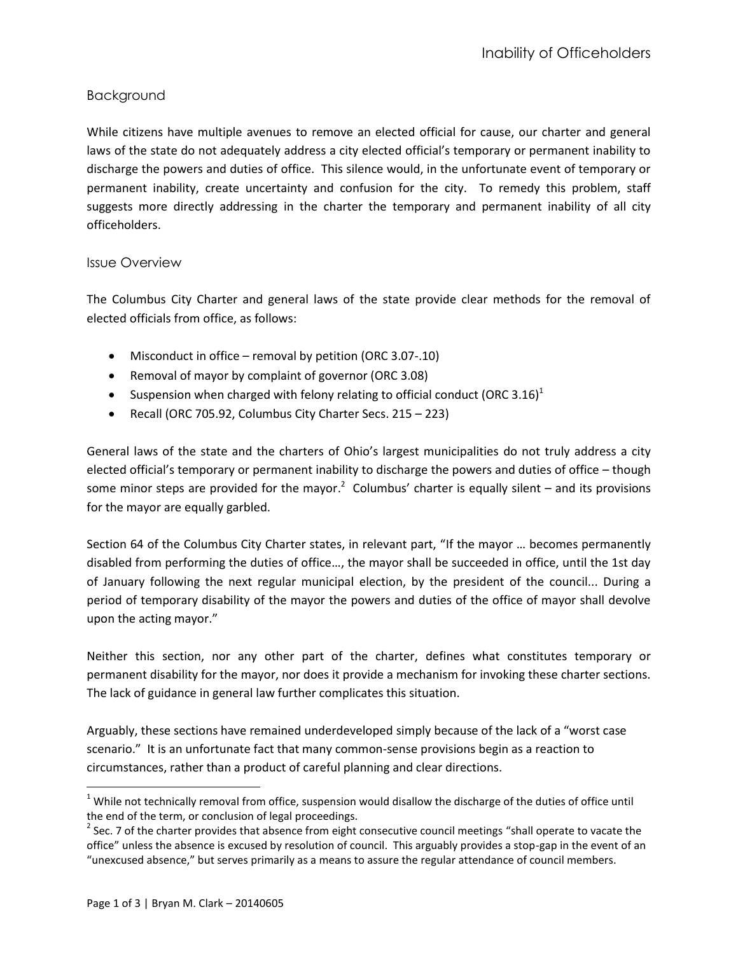## Background

While citizens have multiple avenues to remove an elected official for cause, our charter and general laws of the state do not adequately address a city elected official's temporary or permanent inability to discharge the powers and duties of office. This silence would, in the unfortunate event of temporary or permanent inability, create uncertainty and confusion for the city. To remedy this problem, staff suggests more directly addressing in the charter the temporary and permanent inability of all city officeholders.

## Issue Overview

The Columbus City Charter and general laws of the state provide clear methods for the removal of elected officials from office, as follows:

- Misconduct in office removal by petition (ORC 3.07-.10)
- Removal of mayor by complaint of governor (ORC 3.08)
- Suspension when charged with felony relating to official conduct (ORC 3.16)<sup>1</sup>
- Recall (ORC 705.92, Columbus City Charter Secs. 215 223)

General laws of the state and the charters of Ohio's largest municipalities do not truly address a city elected official's temporary or permanent inability to discharge the powers and duties of office – though some minor steps are provided for the mayor.<sup>2</sup> Columbus' charter is equally silent – and its provisions for the mayor are equally garbled.

Section 64 of the Columbus City Charter states, in relevant part, "If the mayor … becomes permanently disabled from performing the duties of office…, the mayor shall be succeeded in office, until the 1st day of January following the next regular municipal election, by the president of the council... During a period of temporary disability of the mayor the powers and duties of the office of mayor shall devolve upon the acting mayor."

Neither this section, nor any other part of the charter, defines what constitutes temporary or permanent disability for the mayor, nor does it provide a mechanism for invoking these charter sections. The lack of guidance in general law further complicates this situation.

Arguably, these sections have remained underdeveloped simply because of the lack of a "worst case scenario." It is an unfortunate fact that many common-sense provisions begin as a reaction to circumstances, rather than a product of careful planning and clear directions.

l

 $1$  While not technically removal from office, suspension would disallow the discharge of the duties of office until the end of the term, or conclusion of legal proceedings.

 $2$  Sec. 7 of the charter provides that absence from eight consecutive council meetings "shall operate to vacate the office" unless the absence is excused by resolution of council. This arguably provides a stop-gap in the event of an "unexcused absence," but serves primarily as a means to assure the regular attendance of council members.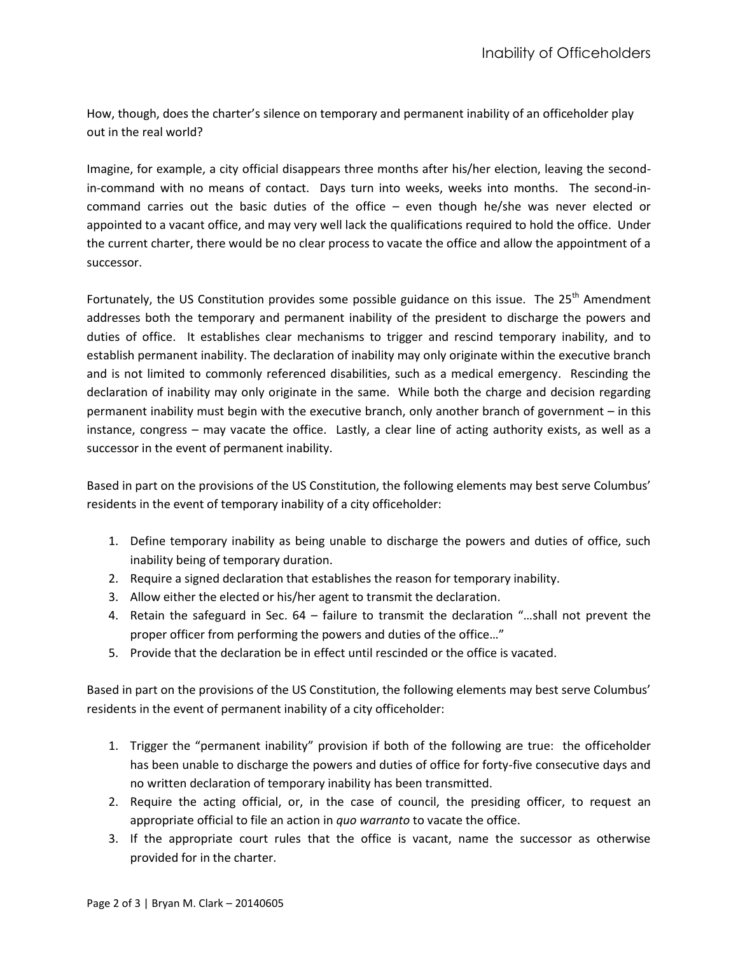How, though, does the charter's silence on temporary and permanent inability of an officeholder play out in the real world?

Imagine, for example, a city official disappears three months after his/her election, leaving the secondin-command with no means of contact. Days turn into weeks, weeks into months. The second-incommand carries out the basic duties of the office – even though he/she was never elected or appointed to a vacant office, and may very well lack the qualifications required to hold the office. Under the current charter, there would be no clear process to vacate the office and allow the appointment of a successor.

Fortunately, the US Constitution provides some possible guidance on this issue. The 25<sup>th</sup> Amendment addresses both the temporary and permanent inability of the president to discharge the powers and duties of office. It establishes clear mechanisms to trigger and rescind temporary inability, and to establish permanent inability. The declaration of inability may only originate within the executive branch and is not limited to commonly referenced disabilities, such as a medical emergency. Rescinding the declaration of inability may only originate in the same. While both the charge and decision regarding permanent inability must begin with the executive branch, only another branch of government – in this instance, congress – may vacate the office. Lastly, a clear line of acting authority exists, as well as a successor in the event of permanent inability.

Based in part on the provisions of the US Constitution, the following elements may best serve Columbus' residents in the event of temporary inability of a city officeholder:

- 1. Define temporary inability as being unable to discharge the powers and duties of office, such inability being of temporary duration.
- 2. Require a signed declaration that establishes the reason for temporary inability.
- 3. Allow either the elected or his/her agent to transmit the declaration.
- 4. Retain the safeguard in Sec. 64 failure to transmit the declaration "…shall not prevent the proper officer from performing the powers and duties of the office…"
- 5. Provide that the declaration be in effect until rescinded or the office is vacated.

Based in part on the provisions of the US Constitution, the following elements may best serve Columbus' residents in the event of permanent inability of a city officeholder:

- 1. Trigger the "permanent inability" provision if both of the following are true: the officeholder has been unable to discharge the powers and duties of office for forty-five consecutive days and no written declaration of temporary inability has been transmitted.
- 2. Require the acting official, or, in the case of council, the presiding officer, to request an appropriate official to file an action in *quo warranto* to vacate the office.
- 3. If the appropriate court rules that the office is vacant, name the successor as otherwise provided for in the charter.